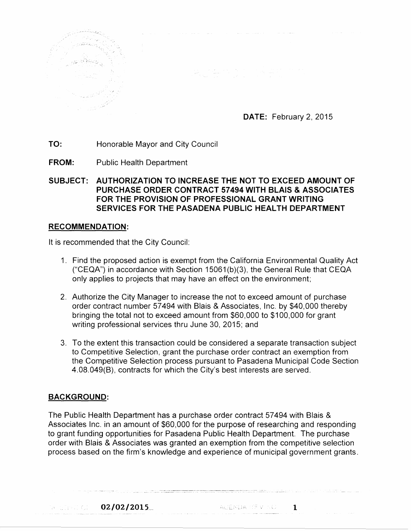

**DATE:** February 2, 2015

**TO:** Honorable Mayor and City Council

**FROM:** Public Health Department

**SUBJECT: AUTHORIZATION TO INCREASE THE NOT TO EXCEED AMOUNT OF PURCHASE ORDER CONTRACT 57494 WITH BLAIS & ASSOCIATES FOR THE PROVISION OF PROFESSIONAL GRANT WRITING SERVICES FOR THE PASADENA PUBLIC HEALTH DEPARTMENT** 

 $\label{eq:R1} \frac{d\mathbf{r}}{d\mathbf{r}} = \frac{1}{\sqrt{2\pi}}\sum_{i=1}^N\frac{d\mathbf{r}}{d\mathbf{r}}\left(\frac{d\mathbf{r}}{d\mathbf{r}}\right)^2\left(\frac{d\mathbf{r}}{d\mathbf{r}}\right)^2\left(\frac{d\mathbf{r}}{d\mathbf{r}}\right)^2.$ 

## **RECOMMENDATION:**

It is recommended that the City Council:

- 1. Find the proposed action is exempt from the California Environmental Quality Act ("CEQA") in accordance with Section 15061 (b)(3), the General Rule that CEQA only applies to projects that may have an effect on the environment;
- 2. Authorize the City Manager to increase the not to exceed amount of purchase order contract number 57494 with Blais & Associates, Inc. by \$40,000 thereby bringing the total not to exceed amount from \$60,000 to \$100,000 for grant writing professional services thru June 30, 2015; and
- 3. To the extent this transaction could be considered a separate transaction subject to Competitive Selection, grant the purchase order contract an exemption from the Competitive Selection process pursuant to Pasadena Municipal Code Section 4.08.049(B), contracts for which the City's best interests are served.

## **BACKGROUND:**

The Public Health Department has a purchase order contract 57 494 with Blais & Associates Inc. in an amount of \$60,000 for the purpose of researching and responding to grant funding opportunities for Pasadena Public Health Department. The purchase order with Blais & Associates was granted an exemption from the competitive selection process based on the firm's knowledge and experience of municipal government grants.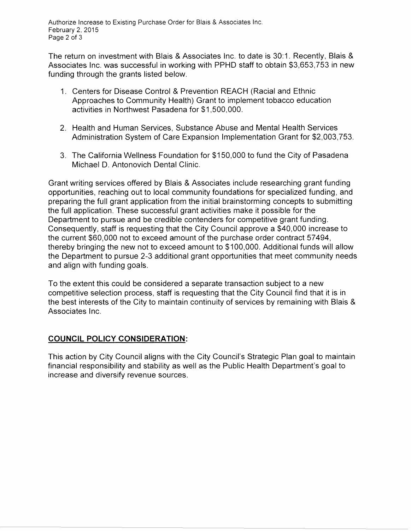The return on investment with Blais & Associates Inc. to date is 30:1. Recently, Blais & Associates Inc. was successful in working with PPHD staff to obtain \$3,653,753 in new funding through the grants listed below.

- 1. Centers for Disease Control & Prevention REACH (Racial and Ethnic Approaches to Community Health) Grant to implement tobacco education activities in Northwest Pasadena for \$1,500,000.
- 2. Health and Human Services, Substance Abuse and Mental Health Services Administration System of Care Expansion Implementation Grant for \$2,003,753.
- 3. The California Wellness Foundation for \$150,000 to fund the City of Pasadena Michael D. Antonovich Dental Clinic.

Grant writing services offered by Blais & Associates include researching grant funding opportunities, reaching out to local community foundations for specialized funding, and preparing the full grant application from the initial brainstorming concepts to submitting the full application. These successful grant activities make it possible for the Department to pursue and be credible contenders for competitive grant funding. Consequently, staff is requesting that the City Council approve a \$40,000 increase to the current \$60,000 not to exceed amount of the purchase order contract 57494, thereby bringing the new not to exceed amount to \$100,000. Additional funds will allow the Department to pursue 2-3 additional grant opportunities that meet community needs and align with funding goals.

To the extent this could be considered a separate transaction subject to a new competitive selection process, staff is requesting that the City Council find that it is in the best interests of the City to maintain continuity of services by remaining with Blais & Associates Inc.

## **COUNCIL POLICY CONSIDERATION:**

This action by City Council aligns with the City Council's Strategic Plan goal to maintain financial responsibility and stability as well as the Public Health Department's goal to increase and diversify revenue sources.